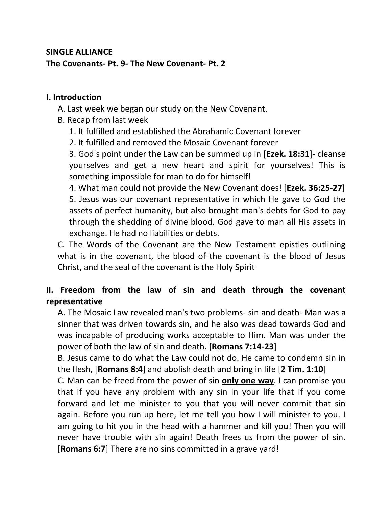## **SINGLE ALLIANCE The Covenants- Pt. 9- The New Covenant- Pt. 2**

## **I. Introduction**

A. Last week we began our study on the New Covenant.

B. Recap from last week

- 1. It fulfilled and established the Abrahamic Covenant forever
- 2. It fulfilled and removed the Mosaic Covenant forever

3. God's point under the Law can be summed up in [**Ezek. 18:31**]- cleanse yourselves and get a new heart and spirit for yourselves! This is something impossible for man to do for himself!

4. What man could not provide the New Covenant does! [**Ezek. 36:25-27**] 5. Jesus was our covenant representative in which He gave to God the assets of perfect humanity, but also brought man's debts for God to pay through the shedding of divine blood. God gave to man all His assets in exchange. He had no liabilities or debts.

C. The Words of the Covenant are the New Testament epistles outlining what is in the covenant, the blood of the covenant is the blood of Jesus Christ, and the seal of the covenant is the Holy Spirit

## **II. Freedom from the law of sin and death through the covenant representative**

A. The Mosaic Law revealed man's two problems- sin and death- Man was a sinner that was driven towards sin, and he also was dead towards God and was incapable of producing works acceptable to Him. Man was under the power of both the law of sin and death. [**Romans 7:14-23**]

B. Jesus came to do what the Law could not do. He came to condemn sin in the flesh, [**Romans 8:4**] and abolish death and bring in life [**2 Tim. 1:10**]

C. Man can be freed from the power of sin **only one way**. I can promise you that if you have any problem with any sin in your life that if you come forward and let me minister to you that you will never commit that sin again. Before you run up here, let me tell you how I will minister to you. I am going to hit you in the head with a hammer and kill you! Then you will never have trouble with sin again! Death frees us from the power of sin. [**Romans 6:7**] There are no sins committed in a grave yard!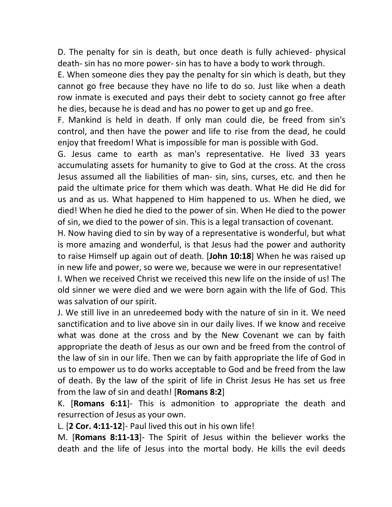D. The penalty for sin is death, but once death is fully achieved- physical death- sin has no more power- sin has to have a body to work through.

E. When someone dies they pay the penalty for sin which is death, but they cannot go free because they have no life to do so. Just like when a death row inmate is executed and pays their debt to society cannot go free after he dies, because he is dead and has no power to get up and go free.

F. Mankind is held in death. If only man could die, be freed from sin's control, and then have the power and life to rise from the dead, he could enjoy that freedom! What is impossible for man is possible with God.

G. Jesus came to earth as man's representative. He lived 33 years accumulating assets for humanity to give to God at the cross. At the cross Jesus assumed all the liabilities of man- sin, sins, curses, etc. and then he paid the ultimate price for them which was death. What He did He did for us and as us. What happened to Him happened to us. When he died, we died! When he died he died to the power of sin. When He died to the power of sin, we died to the power of sin. This is a legal transaction of covenant.

H. Now having died to sin by way of a representative is wonderful, but what is more amazing and wonderful, is that Jesus had the power and authority to raise Himself up again out of death. [**John 10:18**] When he was raised up in new life and power, so were we, because we were in our representative! I. When we received Christ we received this new life on the inside of us! The old sinner we were died and we were born again with the life of God. This

was salvation of our spirit.

J. We still live in an unredeemed body with the nature of sin in it. We need sanctification and to live above sin in our daily lives. If we know and receive what was done at the cross and by the New Covenant we can by faith appropriate the death of Jesus as our own and be freed from the control of the law of sin in our life. Then we can by faith appropriate the life of God in us to empower us to do works acceptable to God and be freed from the law of death. By the law of the spirit of life in Christ Jesus He has set us free from the law of sin and death! [**Romans 8:2**]

K. [**Romans 6:11**]- This is admonition to appropriate the death and resurrection of Jesus as your own.

L. [**2 Cor. 4:11-12**]- Paul lived this out in his own life!

M. [**Romans 8:11-13**]- The Spirit of Jesus within the believer works the death and the life of Jesus into the mortal body. He kills the evil deeds